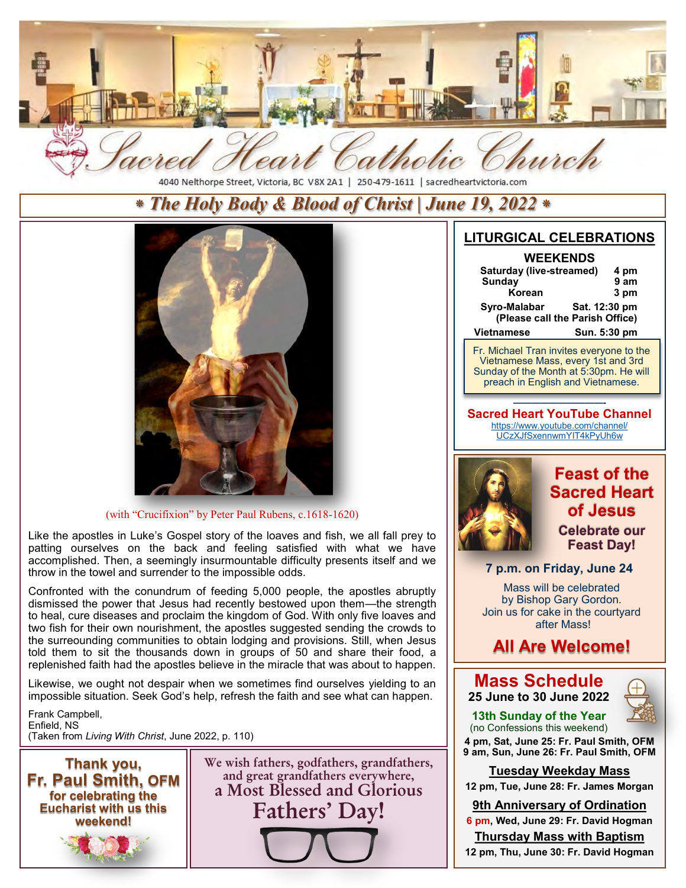

4040 Nelthorpe Street, Victoria, BC V8X 2A1 | 250-479-1611 | sacredheartvictoria.com

## *⁕ The Holy Body & Blood of Christ | June 19, 2022 ⁕*



#### (with "Crucifixion" by Peter Paul Rubens, c.1618-1620)

Like the apostles in Luke's Gospel story of the loaves and fish, we all fall prey to patting ourselves on the back and feeling satisfied with what we have accomplished. Then, a seemingly insurmountable difficulty presents itself and we throw in the towel and surrender to the impossible odds.

Confronted with the conundrum of feeding 5,000 people, the apostles abruptly dismissed the power that Jesus had recently bestowed upon them—the strength to heal, cure diseases and proclaim the kingdom of God. With only five loaves and two fish for their own nourishment, the apostles suggested sending the crowds to the surreounding communities to obtain lodging and provisions. Still, when Jesus told them to sit the thousands down in groups of 50 and share their food, a replenished faith had the apostles believe in the miracle that was about to happen.

Likewise, we ought not despair when we sometimes find ourselves yielding to an impossible situation. Seek God's help, refresh the faith and see what can happen.

Frank Campbell, Enfield, NS (Taken from *Living With Christ*, June 2022, p. 110)



**We wish fathers, godfathers, grandfathers, and great grandfathers everywhere, a Most Blessed and Glorious Fathers' Day!**

### **LITURGICAL CELEBRATIONS**

| 4 pm                            |  |  |
|---------------------------------|--|--|
| 9 am                            |  |  |
| 3 pm                            |  |  |
| Sat. 12:30 pm<br>Syro-Malabar   |  |  |
| (Please call the Parish Office) |  |  |
| Sun. 5:30 pm                    |  |  |
|                                 |  |  |

**Fr. Michael Tran invites everyone to the Reconciliation**<br>The Mass, every 1st al ay or the Month at 5:30pm. He w<br>sath in Freelish and Vistagreess **Sunday 8:30 am**  preach in English and Vietnamese. Vietnamese Mass, every 1st and 3rd Sunday of the Month at 5:30pm. He will

*——————————-*  **Sacred Heart YouTube Channel** [https://www.youtube.com/channel/](https://www.youtube.com/channel/UCzXJfSxennwmYIT4kPyUh6w) [UCzXJfSxennwmYIT4kPyUh6w](https://www.youtube.com/channel/UCzXJfSxennwmYIT4kPyUh6w) 



## **Feast of the Sacred Heart of Jesus**

**Celebrate our Feast Day!**

#### **7 p.m. on Friday, June 24**

Mass will be celebrated by Bishop Gary Gordon. Join us for cake in the courtyard after Mass!

## **All Are Welcome!**

#### **Mass Schedule 25 June to 30 June 2022**



**13th Sunday of the Year** (no Confessions this weekend)

**4 pm, Sat, June 25: Fr. Paul Smith, OFM 9 am, Sun, June 26: Fr. Paul Smith, OFM** 

#### **Tuesday Weekday Mass**

**12 pm, Tue, June 28: Fr. James Morgan** 

#### **9th Anniversary of Ordination**

**6 pm, Wed, June 29: Fr. David Hogman Thursday Mass with Baptism** 

**12 pm, Thu, June 30: Fr. David Hogman**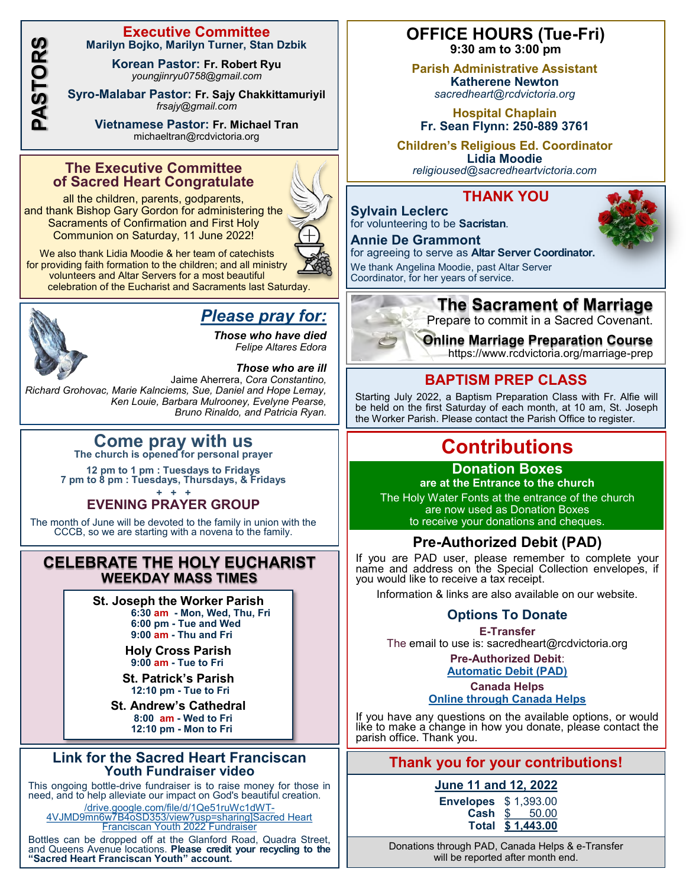**PASTORS**

#### **Executive Committee Marilyn Bojko, Marilyn Turner, Stan Dzbik**

**Korean Pastor: Fr. Robert Ryu** *youngjinryu0758@gmail.com*

**Syro-Malabar Pastor: Fr. Sajy Chakkittamuriyil** *[frsajy@gmail.com](mailto:frsajy@gmail.com)*

> **Vietnamese Pastor: Fr. Michael Tran** michaeltran@rcdvictoria.org

#### **The Executive Committee of Sacred Heart Congratulate**

all the children, parents, godparents, and thank Bishop Gary Gordon for administering the Sacraments of Confirmation and First Holy Communion on Saturday, 11 June 2022!



We also thank Lidia Moodie & her team of catechists for providing faith formation to the children; and all ministry volunteers and Altar Servers for a most beautiful celebration of the Eucharist and Sacraments last Saturday.



## *Please pray for:*

*Those who have died Felipe Altares Edora*

*Those who are ill*  Jaime Aherrera, *Cora Constantino, Richard Grohovac, Marie Kalnciems, Sue, Daniel and Hope Lemay, Ken Louie, Barbara Mulrooney, Evelyne Pearse, Bruno Rinaldo, and Patricia Ryan.*

# **Come pray with us The church is opened for personal prayer**

**12 pm to 1 pm : Tuesdays to Fridays 7 pm to 8 pm : Tuesdays, Thursdays, & Fridays + + +**

## **EVENING PRAYER GROUP**

The month of June will be devoted to the family in union with the CCCB, so we are starting with a novena to the family.

### **CELEBRATE THE HOLY EUCHARIST WEEKDAY MASS TIMES**

**St. Joseph the Worker Parish 6:30 am - Mon, Wed, Thu, Fri 6:00 pm - Tue and Wed 9:00 am - Thu and Fri** 

**Holy Cross Parish 9:00 am - Tue to Fri**

**St. Patrick's Parish 12:10 pm - Tue to Fri**

**St. Andrew's Cathedral 8:00 am - Wed to Fri 12:10 pm - Mon to Fri** 

#### **Link for the Sacred Heart Franciscan Youth Fundraiser video**

This ongoing bottle-drive fundraiser is to raise money for those in need, and to help alleviate our impact on God's beautiful creation.

[/drive.google.com/file/d/1Qe51ruWc1dWT-](http://drive.google.com/file/d/1Qe51ruWc1dWT-4VJMD9mn6w7B4oSD353/view?usp=sharing%5dSacred%20Heart%20Franciscan%20Youth%202022%20Fundraiser)[4VJMD9mn6w7B4oSD353/view?usp=sharing\]Sacred Heart](http://drive.google.com/file/d/1Qe51ruWc1dWT-4VJMD9mn6w7B4oSD353/view?usp=sharing%5dSacred%20Heart%20Franciscan%20Youth%202022%20Fundraiser)  [Franciscan Youth 2022 Fundraiser](http://drive.google.com/file/d/1Qe51ruWc1dWT-4VJMD9mn6w7B4oSD353/view?usp=sharing%5dSacred%20Heart%20Franciscan%20Youth%202022%20Fundraiser) 

Bottles can be dropped off at the Glanford Road, Quadra Street, and Queens Avenue locations. **Please credit your recycling to the "Sacred Heart Franciscan Youth" account.**

### **OFFICE HOURS (Tue-Fri) 9:30 am to 3:00 pm**

**Parish Administrative Assistant Katherene Newton** *sacredheart@rcdvictoria.org*

**Hospital Chaplain Fr. Sean Flynn: 250-889 3761** 

**Children's Religious Ed. Coordinator Lidia Moodie** *[religioused@sacredheartvictoria.com](mailto:religioused@sacredheartvictoria.com)*

### **THANK YOU**

**Sylvain Leclerc**  for volunteering to be **Sacristan**.

#### **Annie De Grammont**

for agreeing to serve as **Altar Server Coordinator.** 

We thank Angelina Moodie, past Altar Server Coordinator, for her years of service.



Prepare to commit in a Sacred Covenant.

## **Online Marriage Preparation Course**

https://www.rcdvictoria.org/marriage-prep

## **BAPTISM PREP CLASS**

Starting July 2022, a Baptism Preparation Class with Fr. Alfie will be held on the first Saturday of each month, at 10 am, St. Joseph the Worker Parish. Please contact the Parish Office to register.

# **Contributions**

#### **Donation Boxes are at the Entrance to the church**

The Holy Water Fonts at the entrance of the church are now used as Donation Boxes to receive your donations and cheques.

## **Pre-Authorized Debit (PAD)**

If you are PAD user, please remember to complete your name and address on the Special Collection envelopes, if you would like to receive a tax receipt.

Information & links are also available on our website.

## **Options To Donate**

**E-Transfer** The email to use is: sacredheart@rcdvictoria.org

> **Pre-Authorized Debit**: **[Automatic Debit \(PAD\)](http://sacredheartvictoria.com/docs/PAD%20form%202020.pdf)**

#### **Canada Helps [Online through Canada Helps](https://www.canadahelps.org/en/dn/47781)**

If you have any questions on the available options, or would like to make a change in how you donate, please contact the parish office. Thank you.

## **Thank you for your contributions!**

## **June 11 and 12, 2022**

**Envelopes \$ 1,393.00<br><b>Cash \$** 50.00 **Cash** \$ 50.00 **Total \$ 1,443.00**

Donations through PAD, Canada Helps & e-Transfer will be reported after month end.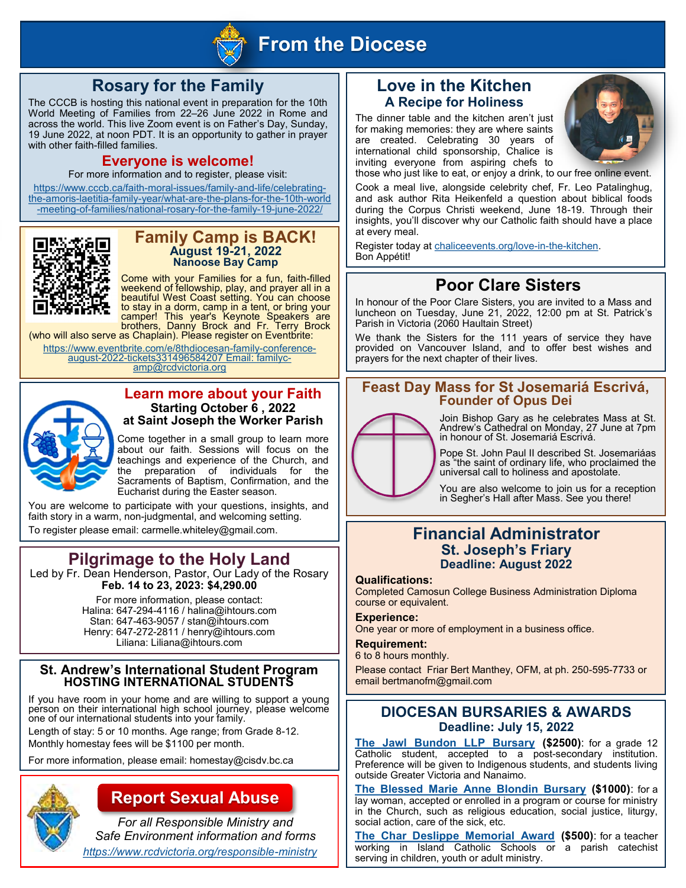

## **From the Diocese**

## **Rosary for the Family**

The CCCB is hosting this national event in preparation for the 10th World Meeting of Families from 22-26 June 2022 in Rome and across the world. This live Zoom event is on Father's Day, Sunday, 19 June 2022, at noon PDT. It is an opportunity to gather in prayer with other faith-filled families.

#### **Everyone is welcome!**

For more information and to register, please visit:

[https://www.cccb.ca/faith-moral-issues/family-and-life/celebrating](https://www.cccb.ca/faith-moral-issues/family-and-life/celebrating-the-amoris-laetitia-family-year/what-are-the-plans-for-the-10th-world-meeting-of-families/national-rosary-for-the-family-19-june-2022/)[the-amoris-laetitia-family-year/what-are-the-plans-for-the-10th-world](https://www.cccb.ca/faith-moral-issues/family-and-life/celebrating-the-amoris-laetitia-family-year/what-are-the-plans-for-the-10th-world-meeting-of-families/national-rosary-for-the-family-19-june-2022/) [-meeting-of-families/national-rosary-for-the-family-19-june-2022/](https://www.cccb.ca/faith-moral-issues/family-and-life/celebrating-the-amoris-laetitia-family-year/what-are-the-plans-for-the-10th-world-meeting-of-families/national-rosary-for-the-family-19-june-2022/)



#### **Family Camp is BACK! August 19-21, 2022 Nanoose Bay Camp**

Come with your Families for a fun, faith-filled weekend of fellowship, play, and prayer all in a beautiful West Coast setting. You can choose to stay in a dorm, camp in a tent, or bring your camper! This year's Keynote Speakers are brothers, Danny Brock and Fr. Terry Brock

(who will also serve as Chaplain). Please register on Eventbrite: [https://www.eventbrite.com/e/8thdiocesan-family-conference](https://www.eventbrite.com/e/8thdiocesan-family-conference-august-2022-tickets331496584207%20Email:%20familycamp@rcdvictoria.org)[august-2022-tickets331496584207 Email: familyc](https://www.eventbrite.com/e/8thdiocesan-family-conference-august-2022-tickets331496584207%20Email:%20familycamp@rcdvictoria.org)[amp@rcdvictoria.org](https://www.eventbrite.com/e/8thdiocesan-family-conference-august-2022-tickets331496584207%20Email:%20familycamp@rcdvictoria.org) 



#### **Learn more about your Faith Starting October 6 , 2022 at Saint Joseph the Worker Parish**

Come together in a small group to learn more about our faith. Sessions will focus on the teachings and experience of the Church, and<br>the preparation of individuals for the preparation of individuals for the Sacraments of Baptism, Confirmation, and the Eucharist during the Easter season.

You are welcome to participate with your questions, insights, and faith story in a warm, non-judgmental, and welcoming setting. To register please email: carmelle.whiteley@gmail.com.

## **Pilgrimage to the Holy Land**

Led by Fr. Dean Henderson, Pastor, Our Lady of the Rosary **Feb. 14 to 23, 2023: \$4,290.00** 

> For more information, please contact: Halina: 647-294-4116 / halina@ihtours.com Stan: 647-463-9057 / stan@ihtours.com Henry: 647-272-2811 / henry@ihtours.com Liliana: Liliana@ihtours.com

#### **St. Andrew's International Student Program HOSTING INTERNATIONAL STUDENTS**

If you have room in your home and are willing to support a young person on their international high school journey, please welcome one of our international students into your family.

Length of stay: 5 or 10 months. Age range; from Grade 8-12.

Monthly homestay fees will be \$1100 per month.

For more information, please email: homestay@cisdv.bc.ca



## **Report Sexual Abuse**

*For all Responsible Ministry and Safe Environment information and forms <https://www.rcdvictoria.org/responsible-ministry>*

### **Love in the Kitchen A Recipe for Holiness**

The dinner table and the kitchen aren't just for making memories: they are where saints are created. Celebrating 30 years of international child sponsorship, Chalice is inviting everyone from aspiring chefs to those who just like to eat, or enjoy a drink, to our free online event.



Cook a meal live, alongside celebrity chef, Fr. Leo Patalinghug, and ask author Rita Heikenfeld a question about biblical foods during the Corpus Christi weekend, June 18-19. Through their insights, you'll discover why our Catholic faith should have a place at every meal.

Register today at [chaliceevents.org/love-in-the-kitchen.](http://chaliceevents.org/love-in-the-kitchen)  Bon Appétit!

## **Poor Clare Sisters**

In honour of the Poor Clare Sisters, you are invited to a Mass and luncheon on Tuesday, June 21, 2022, 12:00 pm at St. Patrick's Parish in Victoria (2060 Haultain Street)

We thank the Sisters for the 111 years of service they have provided on Vancouver Island, and to offer best wishes and prayers for the next chapter of their lives.

#### **Feast Day Mass for St Josemariá Escrivá, Founder of Opus Dei**



Join Bishop Gary as he celebrates Mass at St. Andrew's Cathedral on Monday, 27 June at 7pm in honour of St. Josemariá Escrivá.

Pope St. John Paul II described St. Josemariáas as "the saint of ordinary life, who proclaimed the universal call to holiness and apostolate.

You are also welcome to join us for a reception in Segher's Hall after Mass. See you there!

### **Financial Administrator St. Joseph's Friary Deadline: August 2022**

#### **Qualifications:**

Completed Camosun College Business Administration Diploma course or equivalent.

**Experience:** 

One year or more of employment in a business office.

**Requirement:** 

6 to 8 hours monthly.

Please contact Friar Bert Manthey, OFM, at ph. 250-595-7733 or email bertmanofm@gmail.com

### **DIOCESAN BURSARIES & AWARDS Deadline: July 15, 2022**

**[The Jawl Bundon LLP Bursary](https://www.rcdvictoria.org/jawl-bundon-bursary) (\$2500)**: for a grade 12 Catholic student, accepted to a post-secondary institution. Preference will be given to Indigenous students, and students living outside Greater Victoria and Nanaimo.

**[The Blessed Marie Anne Blondin Bursary](https://www.rcdvictoria.org/blondin-bursary) (\$1000)**: for a lay woman, accepted or enrolled in a program or course for ministry in the Church, such as religious education, social justice, liturgy, social action, care of the sick, etc.

**[The Char Deslippe Memorial Award \(](https://www.rcdvictoria.org/char-deslippe-award)\$500)**: for a teacher working in Island Catholic Schools or a parish catechist serving in children, youth or adult ministry.